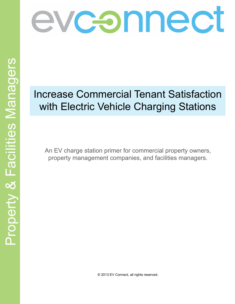

# Increase Commercial Tenant Satisfaction with Electric Vehicle Charging Stations

An EV charge station primer for commercial property owners, property management companies, and facilities managers.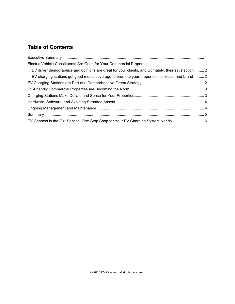# **Table of Contents**

| EV driver demographics and opinions are great for your clients, and ultimately, their satisfaction  2 |  |
|-------------------------------------------------------------------------------------------------------|--|
| EV charging stations get good media coverage to promote your properties, services, and brand 2        |  |
|                                                                                                       |  |
|                                                                                                       |  |
|                                                                                                       |  |
|                                                                                                       |  |
|                                                                                                       |  |
|                                                                                                       |  |
|                                                                                                       |  |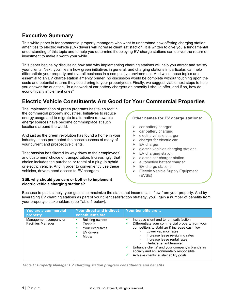# **Executive Summary**

This white paper is for commercial property managers who want to understand how offering charging station amenities to electric vehicle (EV) drivers will increase client satisfaction. It is written to give you a fundamental understanding of this topic and to help you determine if deploying EV charge stations can deliver the return on investment to make it worth your while.

This paper begins by discussing how and why implementing charging stations will help you attract and satisfy your clients. Next, you'll learn how green initiatives in general, and charging stations in particular, can help differentiate your property and overall business in a competitive environment. And while these topics are essential to an EV charge station amenity primer, no discussion would be complete without touching upon the costs and potential returns they could bring to your property(ies). Finally, we suggest viable next steps to help you answer the question, "Is a network of car battery chargers an amenity I should offer, and if so, how do I economically implement one?"

# **Electric Vehicle Constituents Are Good for Your Commercial Properties**

The implementation of green programs has taken root in the commercial property industries. Initiatives to reduce energy usage and to migrate to alternative renewable energy sources have become commonplace at such locations around the world.

And just as the green revolution has found a home in your industry, it has permeated the consciousness of many of your current and prospective clients.

That passion has filtered its way down to their employees' and customers' choice of transportation. Increasingly, that choice includes the purchase or rental of a plug-in hybrid or electric vehicle. And in order to conveniently use these vehicles, drivers need access to EV chargers.

#### **Still, why should you care or bother to implement electric vehicle charging stations?**

## **Other names for EV charge stations:**

- $\triangleright$  car battery charger
- $\triangleright$  car battery charging
- $\triangleright$  electric vehicle charger
- $\triangleright$  charger for electric car
- $\triangleright$  EV charger
- $\triangleright$  electric vehicles charging stations
- $\triangleright$  EV charging station
- $\triangleright$  electric car charger station
- $\triangleright$  automotive battery charger
- $\triangleright$  EV charge stations
- $\triangleright$  Electric Vehicle Supply Equipment (EVSE)

Because to put it simply, your goal is to maximize the stable net income cash flow from your property. And by leveraging EV charging stations as part of your client satisfaction strategy, you'll gain a number of benefits from your property's stakeholders (see Table 1 below).

| You are a commercial<br>property                   | <b>Your direct and indirect</b><br>constituents are                         | Your benefits are                                                                                                                                                                                                                                                                                                                                                                                     |
|----------------------------------------------------|-----------------------------------------------------------------------------|-------------------------------------------------------------------------------------------------------------------------------------------------------------------------------------------------------------------------------------------------------------------------------------------------------------------------------------------------------------------------------------------------------|
| Management company or<br><b>Facilities Manager</b> | <b>Building owners</b><br>Tenants<br>Your executives<br>EV drivers<br>Media | Increase client and tenant satisfaction<br>Differentiate your commercial property from your<br>competitors to stabilize & increase cash flow<br>Lower vacancy rates<br>Increase lease re-signing rates<br>Increase lease rental rates<br>Reduce tenant turnover<br>Enhance clients' and your company's brands as<br>socially and environmentally responsible<br>Achieve clients' sustainability goals |

*Table 1: Property Manager EV charging station program constituents and benefits.*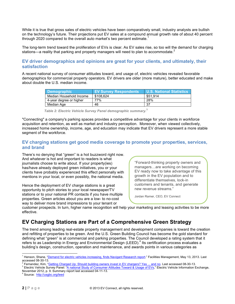While it is true that gross sales of electric vehicles have been comparatively small, industry analysts are bullish on the technology's future. Their projections put EV sales at a compound annual growth rate of about 40 percent through 2020 compared to the overall auto market's two percent estimate.<sup>1</sup>

The long-term trend toward the proliferation of EVs is clear. As EV sales rise, so too will the demand for charging stations—a reality that parking and property managers will need to plan to accommodate.<sup>2</sup>

### **EV driver demographics and opinions are great for your clients, and ultimately, their satisfaction**

A recent national survey of consumer attitudes toward, and usage of, electric vehicles revealed favorable demographics for commercial property operators. EV drivers are older (more mature), better educated and make about double the U.S. median income.

| Demographic             | <b>EV Survey Respondents</b> | U.S. National Statistics |
|-------------------------|------------------------------|--------------------------|
| Median Household Income | \$108.624                    | \$51.914                 |
| 4-year degree or higher | 77%                          | 28%                      |
| Median Age              | 46                           | 37                       |

*Table 2: Electric Vehicle Survey Panel demographic summary.***<sup>3</sup>**

"Connecting" a company's parking spaces provides a competitive advantage for your clients in workforce acquisition and retention, as well as market and industry perception. Moreover, when viewed collectively, increased home ownership, income, age, and education may indicate that EV drivers represent a more stable segment of the workforce.

## **EV charging stations get good media coverage to promote your properties, services, and brand**

There's no denying that "green" is a hot buzzword right now. And whatever is hot and important to readers is what journalists choose to write about. If your property(ies) has/have already deployed green initiatives, you or your clients have probably experienced this effect personally with mentions in your local, or even possibly, the national media.

Hence the deployment of EV charge stations is a great opportunity to pitch stories to your local newspaper/TV stations or to your national PR contacts if you have multiple properties. Green articles about you are a low- to no-cost way to deliver more brand impressions to your tenant or

"Forward-thinking property owners and managers…are working on becoming EV ready now to take advantage of this growth in the EV population and to differentiate themselves, lock-in customers and tenants, and generate new revenue streams."

Jordan Ramer, CEO, EV Connect

customer prospects. In turn, higher name recognition will help your marketing and leasing activities to be more effective.

# **EV Charging Stations are Part of a Comprehensive Green Strategy**

The trend among leading real-estate property management and development companies is toward the creation and refitting of properties to be green. And the U.S. Green Building Council has become the gold standard for defining what "green" is at commercial and parking properties. The Council developed a rating system that it refers to as Leadership in Energy and Environmental Design (LEED). <sup>4</sup> Its certification process evaluates a building's design, construction, operation and maintenance, and awards points in various categories as

<sup>&</sup>lt;sup>1</sup> Henson, Shane, "<u>Demand for electric vehicles increasing, finds Navigant Research report</u>." Facilities Management, May 13, 2013. Last<br>accessed 08-30-13.

<sup>&</sup>lt;sup>2</sup> Fernandez, Kim, "<u>Getting Charged Up: Should building owners invest in EV chargers? Yes ... and no. Last accessed 08-30-13.<br><sup>3</sup> Electric Vehicle Survey Panel: "A national Study of Consumer Attitudes Toward & Usage of E</u>

November 2012, p. 9. Summary report last accessed 04-11-13. <sup>4</sup> Source: http://usgbc.org/leed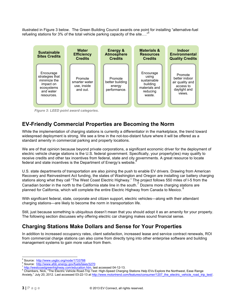illustrated in Figure 3 below. The Green Building Council awards one point for installing "alternative-fuel refueling stations for 3% of the total vehicle parking capacity of the site…."5



*Figure 3: LEED point award categories.*

## **EV-Friendly Commercial Properties are Becoming the Norm**

While the implementation of charging stations is currently a differentiator in the marketplace, the trend toward widespread deployment is strong. We see a time in the not-too-distant future where it will be offered as a standard amenity in commercial parking and property locations.

We are of that opinion because beyond private corporations, a significant economic driver for the deployment of electric vehicle charge stations is the U.S. federal government. Specifically, your property(ies) may qualify to receive credits and other tax incentives from federal, state and city governments. A great resource to locate federal and state incentives is the Department of Energy's website.

U.S. state departments of transportation are also joining the push to enable EV drivers. Drawing from American Recovery and Reinvestment Act funding, the states of Washington and Oregon are installing car battery charging stations along what they call "The West Coast Electric Highway." The project follows 550 miles of I-5 from the Canadian border in the north to the California state line in the south.<sup>7</sup> Dozens more charging stations are planned for California, which will complete the entire Electric Highway from Canada to Mexico. <sup>8</sup>

With significant federal, state, corporate and citizen support, electric vehicles—along with their attendant charging stations—are likely to become the norm in transportation life.

Still, just because something is ubiquitous doesn't mean that you should adopt it as an amenity for your property. The following section discusses why offering electric car charging makes sound financial sense.

# **Charging Stations Make Dollars and Sense for Your Properties**

In addition to increased occupancy rates, client satisfaction, increased lease and service contract renewals, ROI from commercial charge stations can also come from directly tying into other enterprise software and building management systems to gain more value from them.

<sup>&</sup>lt;sup>5</sup> Source: http://www.usgbc.org/node/1733788<br><sup>6</sup> Source: http://www.afdc.energy.gov/fuels/laws/3270<br><sup>7</sup> http://westcoastgreenhighway.com/education.htm, last accessed 04-12-13.<br><sup>8</sup> Chambers, Nick, "The Electric Vehicle Roa Anxiety," July 20, 2012. Last accessed 03-22-13 at http://www.motortrend.com/features/consumer/1207\_the\_electric\_vehicle\_road\_trip\_test/.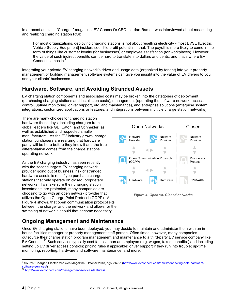In a recent article in "Charged" magazine, EV Connect's CEO, Jordan Ramer, was interviewed about measuring and realizing charging station ROI:

For most organizations, deploying charging stations is not about reselling electricity - most EVSE [Electric Vehicle Supply Equipment] insiders see little profit potential in that. The payoff is more likely to come in the form of things like customer loyalty (for businesses) or employee satisfaction (for workplaces). However, the value of such indirect benefits can be hard to translate into dollars and cents, and that's where EV Connect comes in.<sup>9</sup>

Integrating your private EV charging network's driver and usage data (organized by tenant) into your property management or building management software systems can give you insight into the value of EV drivers to you and your clients' businesses.

# **Hardware, Software, and Avoiding Stranded Assets**

EV charging station components and associated costs may be broken into the categories of deployment (purchasing charging stations and installation costs), management (operating the software network, access control, uptime monitoring, driver support, etc. and maintenance), and enterprise solutions (enterprise system integrations, customized applications or features, and integrations between multiple charge station networks).

There are many choices for charging station hardware these days, including chargers from global leaders like GE, Eaton, and Schneider, as well as established and respected smaller manufacturers. As the EV industry grows, charge station purchasers are realizing that hardware parity will be here before they know it and the true differentiation comes from the charge stations' operating network.

As the EV charging industry has seen recently with the second largest EV charging network provider going out of business, risk of stranded hardware assets is real if you purchase charge stations that only operate on closed, proprietary networks. To make sure their charging station investments are protected, many companies are choosing to go with an open network provider that utilizes the Open Charge Point Protocol (OCPP). As Figure 4 shows, that open communication protocol sits between the charger and the network and allows for the switching of networks should that become necessary.



*Figure 4: Open vs. Closed networks.*

# **Ongoing Management and Maintenance**

Once EV charging stations have been deployed, you may decide to maintain and administer them with an inhouse facilities manager or property management staff person. Often times, however, many companies outsource their charge station program management and maintenance to a third-party EV service company like EV Connect.<sup>10</sup> Such services typically cost far less than an employee (e.g. wages, taxes, benefits.) and including setting up EV driver access controls; pricing rules if applicable; driver support if they run into trouble; up-time monitoring; reporting; hardware and software maintenance; and more.

<sup>&</sup>lt;sup>9</sup> Source: Charged Electric Vehicles Magazine, October 2013, pgs. 86-87 (http://www.evconnect.com/news/connecting-dots-hardwaresoftware-services/)<br><sup>10</sup> http://www.evconnect.com/management-services-features/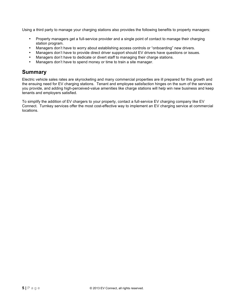Using a third party to manage your charging stations also provides the following benefits to property managers:

- Property managers get a full-service provider and a single point of contact to manage their charging station program.
- Managers don't have to worry about establishing access controls or "onboarding" new drivers.
- Managers don't have to provide direct driver support should EV drivers have questions or issues.
- Managers don't have to dedicate or divert staff to managing their charge stations.
- Managers don't have to spend money or time to train a site manager.

## **Summary**

Electric vehicle sales rates are skyrocketing and many commercial properties are ill prepared for this growth and the ensuing need for EV charging stations. Tenant and employee satisfaction hinges on the sum of the services you provide, and adding high-perceived-value amenities like charge stations will help win new business and keep tenants and employers satisfied.

To simplify the addition of EV chargers to your property, contact a full-service EV charging company like EV Connect. Turnkey services offer the most cost-effective way to implement an EV charging service at commercial locations.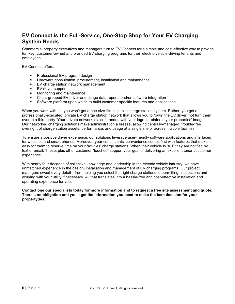# **EV Connect is the Full-Service, One-Stop Shop for Your EV Charging System Needs**

Commercial property executives and managers turn to EV Connect for a simple and cost-effective way to provide turnkey, customer-owned and branded EV charging programs for their electric-vehicle-driving tenants and employees.

EV Connect offers:

- **•** Professional EV program design
- Hardware consultation, procurement, installation and maintenance
- " EV charge station network management
- " EV driver support
- " Monitoring and maintenance
- " Client-grouped EV driver and usage data reports and/or software integration
- " Software platform upon which to build customer-specific features and applications

When you work with us, you won't get a one-size-fits-all public charge station system. Rather, you get a professionally-executed, private EV charge station network that allows you to "own" the EV driver, not turn them over to a third party. Your private network is also branded with your logo to reinforce your properties' image. Our networked charging solutions make administration a breeze, allowing centrally-managed, trouble-free oversight of charge station assets, performance, and usage at a single site or across multiple facilities.

To ensure a positive driver experience, our solutions leverage user-friendly software applications and interfaces for websites and smart phones. Moreover, your constituents' convenience comes first with features that make it easy for them to reserve time on your facilities' charge stations. When their vehicle is "full" they are notified by text or email. These, plus other customer "touches" support your goal of delivering an excellent tenant/customer experience.

With nearly four decades of collective knowledge and leadership in the electric vehicle industry, we have unmatched experience in the design, installation and management of EV charging programs. Our project managers sweat every detail—from helping you select the right charge stations to permitting, inspections and working with your utility if necessary. All that translates into a hassle-free and cost-effective installation and operating experience for you.

**Contact one our specialists today for more information and to request a free site assessment and quote. There's no obligation and you'll get the information you need to make the best decision for your property(ies).**